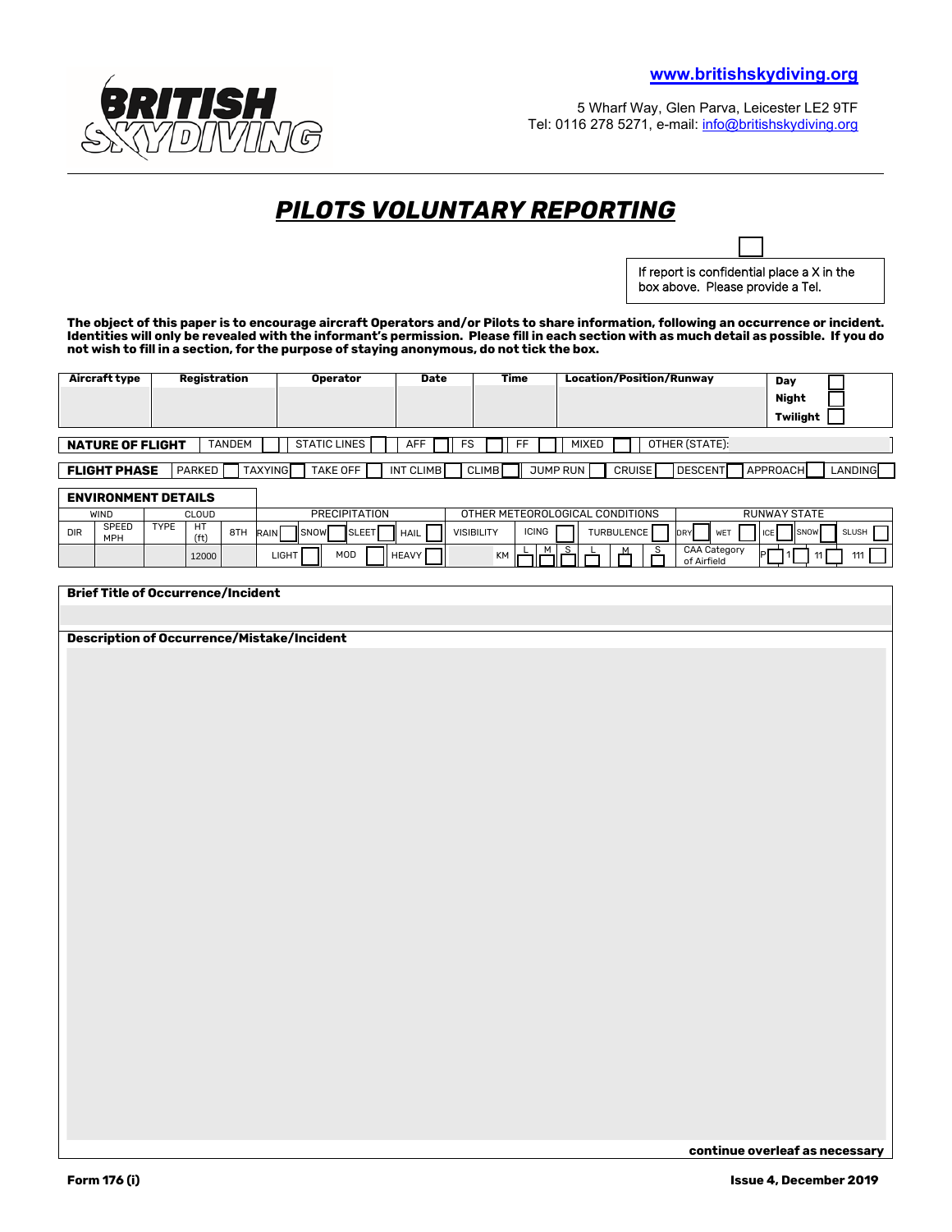

5 Wharf Way, Glen Parva, Leicester LE2 9TF Tel: 0116 278 5271, e-mail: [info@britishskydiving.org](mailto:info@britishskydiving.org)

/ dd

## *PILOTS VOLUNTARY REPORTING*

—<br>— If report is confidential place a X in the box above. Please provide a Tel.

**The object of this paper is to encourage aircraft Operators and/or Pilots to share information, following an occurrence or incident. Identities will only be revealed with the informant's permission. Please fill in each section with as much detail as possible. If you do not wish to fill in a section, for the purpose of staying anonymous, do not tick the box.** 

| Aircraft type           | Registration             | <b>Operator</b>     | Date             | Time         | <b>Location/Position/Runway</b>               | Day                 |  |  |  |
|-------------------------|--------------------------|---------------------|------------------|--------------|-----------------------------------------------|---------------------|--|--|--|
|                         |                          |                     |                  |              |                                               | Night               |  |  |  |
|                         |                          |                     |                  |              |                                               | Twiliaht            |  |  |  |
|                         |                          |                     |                  |              |                                               |                     |  |  |  |
| <b>NATURE OF FLIGHT</b> | TANDEM                   | <b>STATIC LINES</b> | <b>AFF</b><br>FS | FF           | OTHER (STATE):<br>MIXED                       |                     |  |  |  |
|                         |                          |                     |                  |              |                                               |                     |  |  |  |
| <b>FLIGHT PHASE</b>     | <b>TAXYING</b><br>PARKED | TAKE OFF            | INT CLIMB        | <b>CLIMB</b> | JUMP RUN<br><b>CRUISE</b><br><b>IDESCENTI</b> | APPROACH<br>LANDING |  |  |  |

## **ENVIRONMENT DETAILS**

|            | EN THVUN IEN I PETAILY |             |                         |     |               |             |              |                                 |                   |              |                   |                     |                                    |     |      |              |
|------------|------------------------|-------------|-------------------------|-----|---------------|-------------|--------------|---------------------------------|-------------------|--------------|-------------------|---------------------|------------------------------------|-----|------|--------------|
|            | WIND                   |             | CLOUD                   |     | PRECIPITATION |             |              | OTHER METEOROLOGICAL CONDITIONS |                   |              |                   | <b>RUNWAY STATE</b> |                                    |     |      |              |
| <b>DIR</b> | SPEED<br>MPH           | <b>TYPE</b> | HT<br>(f <sup>t</sup> ) | 8TH | <b>RAIN</b>   | <b>SNOW</b> | <b>SLEET</b> | <b>HAIL</b>                     | <b>VISIBILITY</b> | <b>ICING</b> | <b>TURBULENCE</b> |                     | <b>WET</b><br><b>DRY</b>           | ICE | SNOW | <b>SLUSH</b> |
|            |                        |             | 12000                   |     | LIGHT         |             | MOD          | <b>HEAVY</b>                    | KM                | м            |                   |                     | <b>CAA Category</b><br>of Airfield | ÞІ  |      | 111          |

## **Brief Title of Occurrence/Incident**

**Description of Occurrence/Mistake/Incident**

٦

**continue overleaf as necessary**